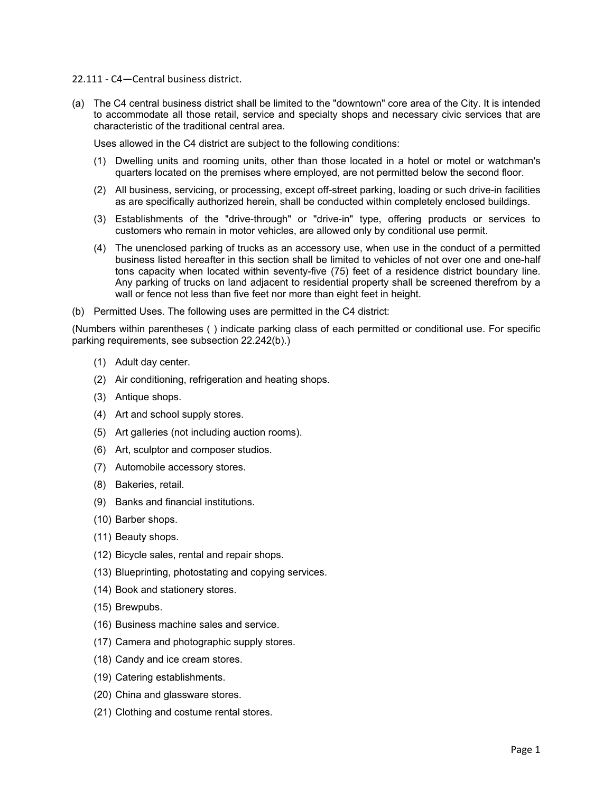22.111 ‐ C4—Central business district.

(a) The C4 central business district shall be limited to the "downtown" core area of the City. It is intended to accommodate all those retail, service and specialty shops and necessary civic services that are characteristic of the traditional central area.

Uses allowed in the C4 district are subject to the following conditions:

- (1) Dwelling units and rooming units, other than those located in a hotel or motel or watchman's quarters located on the premises where employed, are not permitted below the second floor.
- (2) All business, servicing, or processing, except off-street parking, loading or such drive-in facilities as are specifically authorized herein, shall be conducted within completely enclosed buildings.
- (3) Establishments of the "drive-through" or "drive-in" type, offering products or services to customers who remain in motor vehicles, are allowed only by conditional use permit.
- (4) The unenclosed parking of trucks as an accessory use, when use in the conduct of a permitted business listed hereafter in this section shall be limited to vehicles of not over one and one-half tons capacity when located within seventy-five (75) feet of a residence district boundary line. Any parking of trucks on land adjacent to residential property shall be screened therefrom by a wall or fence not less than five feet nor more than eight feet in height.
- (b) Permitted Uses. The following uses are permitted in the C4 district:

(Numbers within parentheses ( ) indicate parking class of each permitted or conditional use. For specific parking requirements, see subsection 22.242(b).)

- (1) Adult day center.
- (2) Air conditioning, refrigeration and heating shops.
- (3) Antique shops.
- (4) Art and school supply stores.
- (5) Art galleries (not including auction rooms).
- (6) Art, sculptor and composer studios.
- (7) Automobile accessory stores.
- (8) Bakeries, retail.
- (9) Banks and financial institutions.
- (10) Barber shops.
- (11) Beauty shops.
- (12) Bicycle sales, rental and repair shops.
- (13) Blueprinting, photostating and copying services.
- (14) Book and stationery stores.
- (15) Brewpubs.
- (16) Business machine sales and service.
- (17) Camera and photographic supply stores.
- (18) Candy and ice cream stores.
- (19) Catering establishments.
- (20) China and glassware stores.
- (21) Clothing and costume rental stores.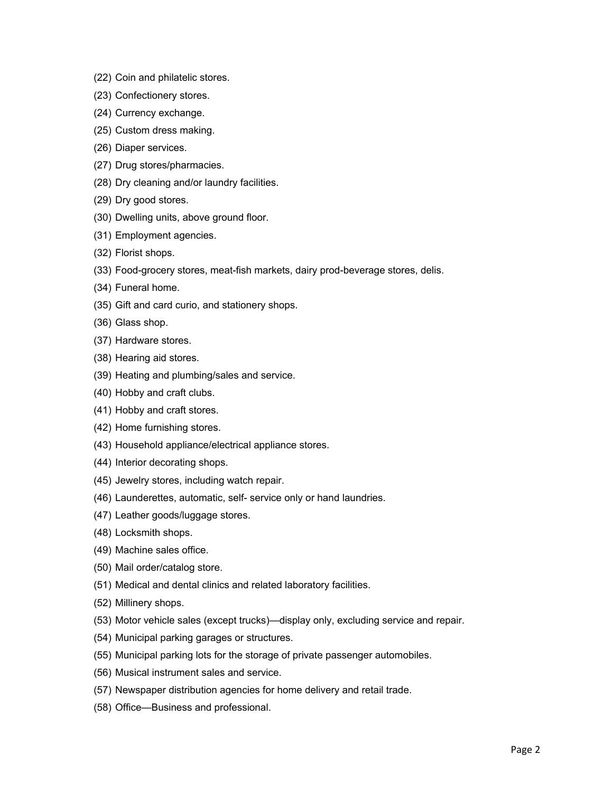- (22) Coin and philatelic stores.
- (23) Confectionery stores.
- (24) Currency exchange.
- (25) Custom dress making.
- (26) Diaper services.
- (27) Drug stores/pharmacies.
- (28) Dry cleaning and/or laundry facilities.
- (29) Dry good stores.
- (30) Dwelling units, above ground floor.
- (31) Employment agencies.
- (32) Florist shops.
- (33) Food-grocery stores, meat-fish markets, dairy prod-beverage stores, delis.
- (34) Funeral home.
- (35) Gift and card curio, and stationery shops.
- (36) Glass shop.
- (37) Hardware stores.
- (38) Hearing aid stores.
- (39) Heating and plumbing/sales and service.
- (40) Hobby and craft clubs.
- (41) Hobby and craft stores.
- (42) Home furnishing stores.
- (43) Household appliance/electrical appliance stores.
- (44) Interior decorating shops.
- (45) Jewelry stores, including watch repair.
- (46) Launderettes, automatic, self- service only or hand laundries.
- (47) Leather goods/luggage stores.
- (48) Locksmith shops.
- (49) Machine sales office.
- (50) Mail order/catalog store.
- (51) Medical and dental clinics and related laboratory facilities.
- (52) Millinery shops.
- (53) Motor vehicle sales (except trucks)—display only, excluding service and repair.
- (54) Municipal parking garages or structures.
- (55) Municipal parking lots for the storage of private passenger automobiles.
- (56) Musical instrument sales and service.
- (57) Newspaper distribution agencies for home delivery and retail trade.
- (58) Office—Business and professional.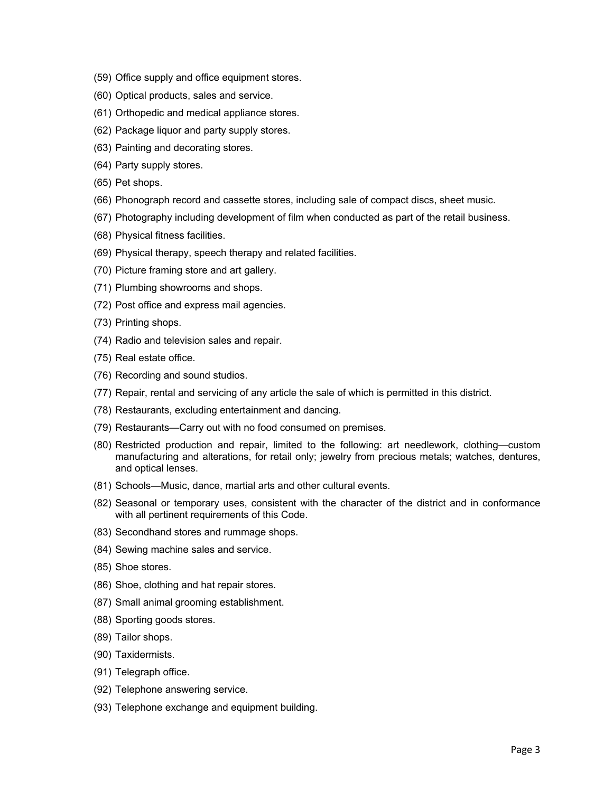- (59) Office supply and office equipment stores.
- (60) Optical products, sales and service.
- (61) Orthopedic and medical appliance stores.
- (62) Package liquor and party supply stores.
- (63) Painting and decorating stores.
- (64) Party supply stores.
- (65) Pet shops.
- (66) Phonograph record and cassette stores, including sale of compact discs, sheet music.
- (67) Photography including development of film when conducted as part of the retail business.
- (68) Physical fitness facilities.
- (69) Physical therapy, speech therapy and related facilities.
- (70) Picture framing store and art gallery.
- (71) Plumbing showrooms and shops.
- (72) Post office and express mail agencies.
- (73) Printing shops.
- (74) Radio and television sales and repair.
- (75) Real estate office.
- (76) Recording and sound studios.
- (77) Repair, rental and servicing of any article the sale of which is permitted in this district.
- (78) Restaurants, excluding entertainment and dancing.
- (79) Restaurants—Carry out with no food consumed on premises.
- (80) Restricted production and repair, limited to the following: art needlework, clothing—custom manufacturing and alterations, for retail only; jewelry from precious metals; watches, dentures, and optical lenses.
- (81) Schools—Music, dance, martial arts and other cultural events.
- (82) Seasonal or temporary uses, consistent with the character of the district and in conformance with all pertinent requirements of this Code.
- (83) Secondhand stores and rummage shops.
- (84) Sewing machine sales and service.
- (85) Shoe stores.
- (86) Shoe, clothing and hat repair stores.
- (87) Small animal grooming establishment.
- (88) Sporting goods stores.
- (89) Tailor shops.
- (90) Taxidermists.
- (91) Telegraph office.
- (92) Telephone answering service.
- (93) Telephone exchange and equipment building.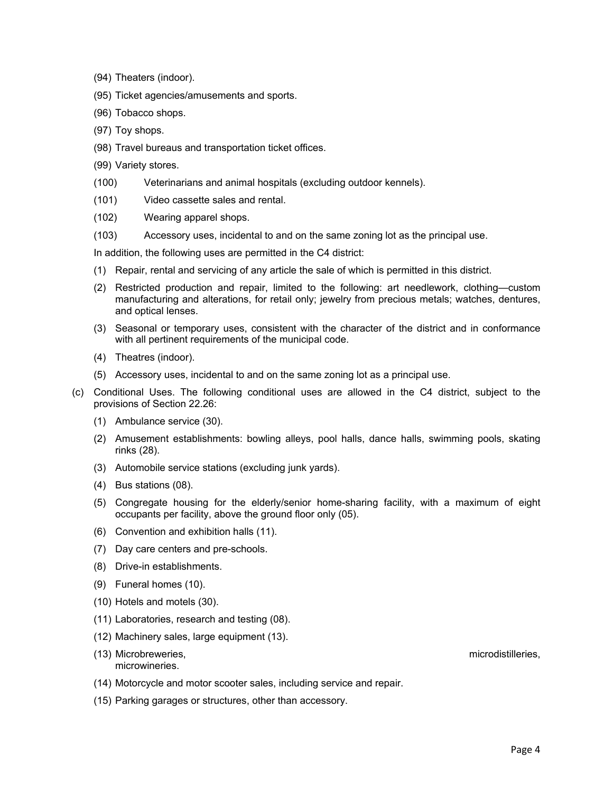- (94) Theaters (indoor).
- (95) Ticket agencies/amusements and sports.
- (96) Tobacco shops.
- (97) Toy shops.
- (98) Travel bureaus and transportation ticket offices.
- (99) Variety stores.
- (100) Veterinarians and animal hospitals (excluding outdoor kennels).
- (101) Video cassette sales and rental.
- (102) Wearing apparel shops.
- (103) Accessory uses, incidental to and on the same zoning lot as the principal use.

In addition, the following uses are permitted in the C4 district:

- (1) Repair, rental and servicing of any article the sale of which is permitted in this district.
- (2) Restricted production and repair, limited to the following: art needlework, clothing—custom manufacturing and alterations, for retail only; jewelry from precious metals; watches, dentures, and optical lenses.
- (3) Seasonal or temporary uses, consistent with the character of the district and in conformance with all pertinent requirements of the municipal code.
- (4) Theatres (indoor).
- (5) Accessory uses, incidental to and on the same zoning lot as a principal use.
- (c) Conditional Uses. The following conditional uses are allowed in the C4 district, subject to the provisions of Section 22.26:
	- (1) Ambulance service (30).
	- (2) Amusement establishments: bowling alleys, pool halls, dance halls, swimming pools, skating rinks (28).
	- (3) Automobile service stations (excluding junk yards).
	- (4) Bus stations (08).
	- (5) Congregate housing for the elderly/senior home-sharing facility, with a maximum of eight occupants per facility, above the ground floor only (05).
	- (6) Convention and exhibition halls (11).
	- (7) Day care centers and pre-schools.
	- (8) Drive-in establishments.
	- (9) Funeral homes (10).
	- (10) Hotels and motels (30).
	- (11) Laboratories, research and testing (08).
	- (12) Machinery sales, large equipment (13).
	- (13) Microbreweries, microdistilleries, microwineries.
	- (14) Motorcycle and motor scooter sales, including service and repair.
	- (15) Parking garages or structures, other than accessory.